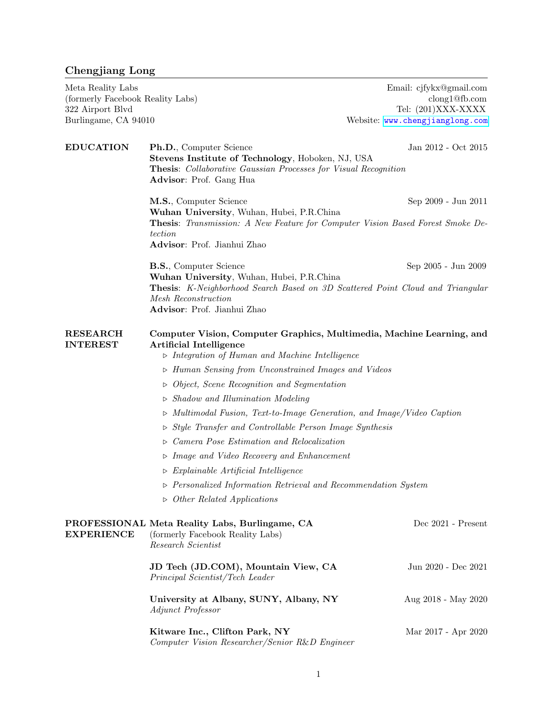## Chengjiang Long

Meta Reality Labs Email: cjfykx@gmail.com

(formerly Facebook Reality Labs) clong1@fb.com<br>
322 Airport Blvd<br>
Tel: (201)XXX-XXXX Tel:  $(201)$ XXX-XXXX Burlingame, CA 94010 Website: <www.chengjianglong.com>

| <b>EDUCATION</b>                   | Ph.D., Computer Science<br>Stevens Institute of Technology, Hoboken, NJ, USA<br><b>Thesis:</b> Collaborative Gaussian Processes for Visual Recognition<br>Advisor: Prof. Gang Hua | Jan 2012 - Oct 2015 |  |
|------------------------------------|-----------------------------------------------------------------------------------------------------------------------------------------------------------------------------------|---------------------|--|
|                                    | M.S., Computer Science                                                                                                                                                            | Sep 2009 - Jun 2011 |  |
|                                    | Wuhan University, Wuhan, Hubei, P.R.China<br><b>Thesis:</b> Transmission: A New Feature for Computer Vision Based Forest Smoke De-<br>tection<br>Advisor: Prof. Jianhui Zhao      |                     |  |
|                                    | <b>B.S., Computer Science</b><br>Wuhan University, Wuhan, Hubei, P.R.China                                                                                                        | Sep 2005 - Jun 2009 |  |
|                                    | <b>Thesis:</b> K-Neighborhood Search Based on 3D Scattered Point Cloud and Triangular<br>Mesh Reconstruction<br>Advisor: Prof. Jianhui Zhao                                       |                     |  |
| <b>RESEARCH</b><br><b>INTEREST</b> | Computer Vision, Computer Graphics, Multimedia, Machine Learning, and<br><b>Artificial Intelligence</b><br>$\triangleright$ Integration of Human and Machine Intelligence         |                     |  |
|                                    | $\triangleright$ Human Sensing from Unconstrained Images and Videos                                                                                                               |                     |  |
|                                    | $\triangleright$ Object, Scene Recognition and Segmentation                                                                                                                       |                     |  |
|                                    | Shadow and Illumination Modeling<br>$\triangleright$                                                                                                                              |                     |  |
|                                    | $\triangleright$ Multimodal Fusion, Text-to-Image Generation, and Image/Video Caption                                                                                             |                     |  |
|                                    | Style Transfer and Controllable Person Image Synthesis<br>$\triangleright$                                                                                                        |                     |  |
|                                    | Camera Pose Estimation and Relocalization<br>$\triangleright$                                                                                                                     |                     |  |
|                                    | $\triangleright$ Image and Video Recovery and Enhancement                                                                                                                         |                     |  |
|                                    | $\triangleright$ Explainable Artificial Intelligence                                                                                                                              |                     |  |
|                                    | $\triangleright$ Personalized Information Retrieval and Recommendation System                                                                                                     |                     |  |
|                                    | $\triangleright$ Other Related Applications                                                                                                                                       |                     |  |
|                                    | PROFESSIONAL Meta Reality Labs, Burlingame, CA<br><b>EXPERIENCE</b> (formerly Facebook Reality Labs)<br>Research Scientist                                                        | Dec 2021 - Present  |  |
|                                    | JD Tech (JD.COM), Mountain View, CA<br>Principal Scientist/Tech Leader                                                                                                            | Jun 2020 - Dec 2021 |  |
|                                    | University at Albany, SUNY, Albany, NY<br>Adjunct Professor                                                                                                                       | Aug 2018 - May 2020 |  |
|                                    | Kitware Inc., Clifton Park, NY<br>Computer Vision Researcher/Senior R&D Engineer                                                                                                  | Mar 2017 - Apr 2020 |  |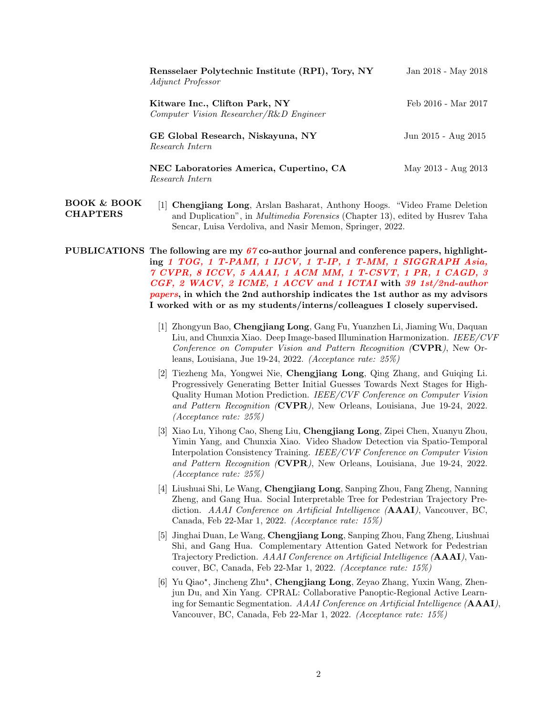| Rensselaer Polytechnic Institute (RPI), Tory, NY<br><i>Adjunct Professor</i> | Jan 2018 - May 2018 |
|------------------------------------------------------------------------------|---------------------|
| Kitware Inc., Clifton Park, NY<br>Computer Vision Researcher/R&D Engineer    | Feb 2016 - Mar 2017 |
| GE Global Research, Niskayuna, NY<br>Research Intern                         | Jun 2015 - Aug 2015 |
| NEC Laboratories America, Cupertino, CA<br>Research Intern                   | May 2013 - Aug 2013 |

BOOK & BOOK CHAPTERS [1] Chengjiang Long, Arslan Basharat, Anthony Hoogs. "Video Frame Deletion and Duplication", in Multimedia Forensics (Chapter 13), edited by Husrev Taha Sencar, Luisa Verdoliva, and Nasir Memon, Springer, 2022.

PUBLICATIONS The following are my  $67$  co-author journal and conference papers, highlighting 1 TOG, 1 T-PAMI, 1 IJCV, 1 T-IP, 1 T-MM, 1 SIGGRAPH Asia, 7 CVPR, 8 ICCV, 5 AAAI, 1 ACM MM, 1 T-CSVT, 1 PR, 1 CAGD, 3 CGF, 2 WACV, 2 ICME, 1 ACCV and 1 ICTAI with 39 1st/2nd-author papers, in which the 2nd authorship indicates the 1st author as my advisors I worked with or as my students/interns/colleagues I closely supervised.

- [1] Zhongyun Bao, Chengjiang Long, Gang Fu, Yuanzhen Li, Jiaming Wu, Daquan Liu, and Chunxia Xiao. Deep Image-based Illumination Harmonization. IEEE/CVF Conference on Computer Vision and Pattern Recognition (CVPR), New Orleans, Louisiana, Jue 19-24, 2022. (Acceptance rate: 25%)
- [2] Tiezheng Ma, Yongwei Nie, Chengjiang Long, Qing Zhang, and Guiqing Li. Progressively Generating Better Initial Guesses Towards Next Stages for High-Quality Human Motion Prediction. IEEE/CVF Conference on Computer Vision and Pattern Recognition (CVPR), New Orleans, Louisiana, Jue 19-24, 2022. (Acceptance rate: 25%)
- [3] Xiao Lu, Yihong Cao, Sheng Liu, Chengjiang Long, Zipei Chen, Xuanyu Zhou, Yimin Yang, and Chunxia Xiao. Video Shadow Detection via Spatio-Temporal Interpolation Consistency Training. IEEE/CVF Conference on Computer Vision and Pattern Recognition (CVPR), New Orleans, Louisiana, Jue 19-24, 2022. (Acceptance rate: 25%)
- [4] Liushuai Shi, Le Wang, Chengjiang Long, Sanping Zhou, Fang Zheng, Nanning Zheng, and Gang Hua. Social Interpretable Tree for Pedestrian Trajectory Prediction. AAAI Conference on Artificial Intelligence (AAAI), Vancouver, BC, Canada, Feb 22-Mar 1, 2022. (Acceptance rate: 15%)
- [5] Jinghai Duan, Le Wang, Chengjiang Long, Sanping Zhou, Fang Zheng, Liushuai Shi, and Gang Hua. Complementary Attention Gated Network for Pedestrian Trajectory Prediction. AAAI Conference on Artificial Intelligence (AAAI), Vancouver, BC, Canada, Feb 22-Mar 1, 2022. (Acceptance rate: 15%)
- [6] Yu Qiao\*, Jincheng Zhu\*, Chengjiang Long, Zeyao Zhang, Yuxin Wang, Zhenjun Du, and Xin Yang. CPRAL: Collaborative Panoptic-Regional Active Learning for Semantic Segmentation. AAAI Conference on Artificial Intelligence (AAAI), Vancouver, BC, Canada, Feb 22-Mar 1, 2022. (Acceptance rate: 15%)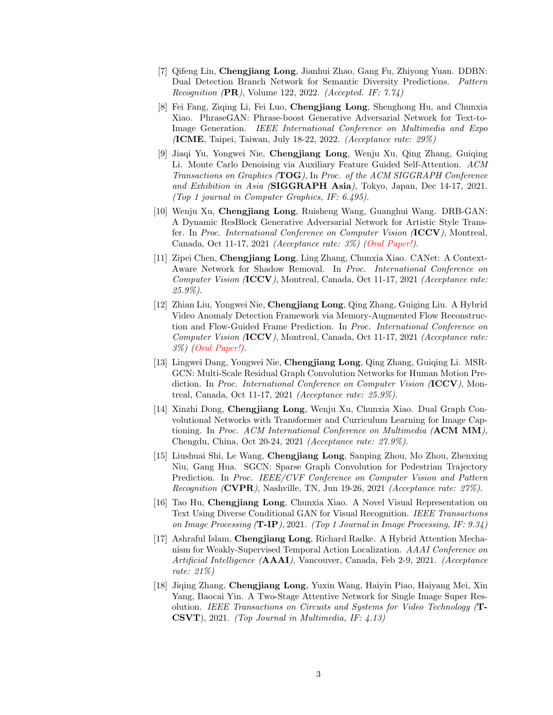- [7] Qifeng Lin, Chengjiang Long, Jianhui Zhao, Gang Fu, Zhiyong Yuan. DDBN: Dual Detection Branch Network for Semantic Diversity Predictions. Pattern *Recognition*  $(PR)$ , Volume 122, 2022. *(Accepted. IF: 7.74)*
- [8] Fei Fang, Ziqing Li, Fei Luo, Chengjiang Long, Shenghong Hu, and Chunxia Xiao. PhraseGAN: Phrase-boost Generative Adversarial Network for Text-to-Image Generation. IEEE International Conference on Multimedia and Expo (ICME, Taipei, Taiwan, July 18-22, 2022. (Acceptance rate: 29%)
- [9] Jiaqi Yu, Yongwei Nie, Chengjiang Long, Wenju Xu, Qing Zhang, Guiqing Li. Monte Carlo Denoising via Auxiliary Feature Guided Self-Attention. ACM Transactions on Graphics (TOG), In Proc. of the ACM SIGGRAPH Conference and Exhibition in Asia (SIGGRAPH Asia), Tokyo, Japan, Dec  $14-17$ ,  $2021$ . (Top 1 journal in Computer Graphics, IF: 6.495).
- [10] Wenju Xu, Chengjiang Long, Ruisheng Wang, Guanghui Wang. DRB-GAN: A Dynamic ResBlock Generative Adversarial Network for Artistic Style Transfer. In Proc. International Conference on Computer Vision (ICCV), Montreal, Canada, Oct 11-17, 2021 (Acceptance rate: 3%) (Oral Paper!).
- [11] Zipei Chen, Chengjiang Long, Ling Zhang, Chunxia Xiao. CANet: A Context-Aware Network for Shadow Removal. In Proc. International Conference on Computer Vision (ICCV), Montreal, Canada, Oct 11-17, 2021 (Acceptance rate: 25.9%).
- [12] Zhian Liu, Yongwei Nie, Chengjiang Long, Qing Zhang, Guiging Liu. A Hybrid Video Anomaly Detection Framework via Memory-Augmented Flow Reconstruction and Flow-Guided Frame Prediction. In Proc. International Conference on Computer Vision (ICCV), Montreal, Canada, Oct 11-17, 2021 (Acceptance rate: 3%) (Oral Paper!).
- [13] Lingwei Dang, Yongwei Nie, Chengjiang Long, Qing Zhang, Guiqing Li. MSR-GCN: Multi-Scale Residual Graph Convolution Networks for Human Motion Prediction. In Proc. International Conference on Computer Vision (ICCV), Montreal, Canada, Oct 11-17, 2021 (Acceptance rate: 25.9%).
- [14] Xinzhi Dong, Chengjiang Long, Wenju Xu, Chunxia Xiao. Dual Graph Convolutional Networks with Transformer and Curriculum Learning for Image Captioning. In Proc. ACM International Conference on Multimedia (ACM MM), Chengdu, China, Oct 20-24, 2021 (Acceptance rate: 27.9%).
- [15] Liushuai Shi, Le Wang, Chengjiang Long, Sanping Zhou, Mo Zhou, Zhenxing Niu, Gang Hua. SGCN: Sparse Graph Convolution for Pedestrian Trajectory Prediction. In Proc. IEEE/CVF Conference on Computer Vision and Pattern Recognition (CVPR), Nashville, TN, Jun 19-26, 2021 (Acceptance rate: 27%).
- [16] Tao Hu, Chengjiang Long, Chunxia Xiao. A Novel Visual Representation on Text Using Diverse Conditional GAN for Visual Recognition. IEEE Transactions on Image Processing  $($ **T**-I**P** $)$ , 2021. (Top 1 Journal in Image Processing, IF: 9.34)
- [17] Ashraful Islam, Chengjiang Long, Richard Radke. A Hybrid Attention Mechanism for Weakly-Supervised Temporal Action Localization. AAAI Conference on Artificial Intelligence (AAAI), Vancouver, Canada, Feb 2-9, 2021. (Acceptance rate: 21%)
- [18] Jiqing Zhang, Chengjiang Long, Yuxin Wang, Haiyin Piao, Haiyang Mei, Xin Yang, Baocai Yin. A Two-Stage Attentive Network for Single Image Super Resolution. IEEE Transactions on Circuits and Systems for Video Technology (T-CSVT), 2021. (Top Journal in Multimedia, IF: 4.13)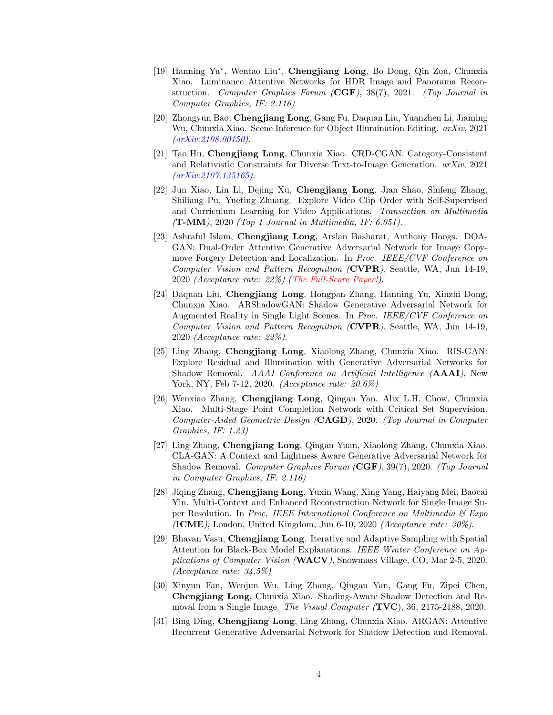- [19] Hanning Yu\*, Wentao Liu\*, Chengjiang Long, Bo Dong, Qin Zou, Chunxia Xiao. Luminance Attentive Networks for HDR Image and Panorama Reconstruction. Computer Graphics Forum (CGF), 38(7), 2021. (Top Journal in Computer Graphics, IF: 2.116)
- [20] Zhongyun Bao, Chengjiang Long, Gang Fu, Daquan Liu, Yuanzhen Li, Jiaming Wu, Chunxia Xiao. Scene Inference for Object Illumination Editing. arXiv, 2021 (arXiv:2108.00150).
- [21] Tao Hu, Chengjiang Long, Chunxia Xiao. CRD-CGAN: Category-Consistent and Relativistic Constraints for Diverse Text-to-Image Generation. arXiv, 2021 (arXiv:2107.135165).
- [22] Jun Xiao, Lin Li, Dejing Xu, Chengjiang Long, Jian Shao, Shifeng Zhang, Shiliang Pu, Yueting Zhuang. Explore Video Clip Order with Self-Supervised and Curriculum Learning for Video Applications. Transaction on Multimedia (T-MM), 2020 (Top 1 Journal in Multimedia, IF: 6.051).
- [23] Ashraful Islam, Chengjiang Long, Arslan Basharat, Anthony Hoogs. DOA-GAN: Dual-Order Attentive Generative Adversarial Network for Image Copymove Forgery Detection and Localization. In Proc. IEEE/CVF Conference on Computer Vision and Pattern Recognition (CVPR), Seattle, WA, Jun 14-19, 2020 (Acceptance rate: 22%) (The Full-Score Paper!).
- [24] Daquan Liu, Chengjiang Long, Hongpan Zhang, Hanning Yu, Xinzhi Dong, Chunxia Xiao. ARShadowGAN: Shadow Generative Adversarial Network for Augmented Reality in Single Light Scenes. In Proc. IEEE/CVF Conference on Computer Vision and Pattern Recognition (CVPR), Seattle, WA, Jun 14-19, 2020 (Acceptance rate: 22%).
- [25] Ling Zhang, Chengjiang Long, Xiaolong Zhang, Chunxia Xiao. RIS-GAN: Explore Residual and Illumination with Generative Adversarial Networks for Shadow Removal. AAAI Conference on Artificial Intelligence (**AAAI**), New York, NY, Feb 7-12, 2020. (Acceptance rate: 20.6%)
- [26] Wenxiao Zhang, Chengjiang Long, Qingan Yan, Alix L.H. Chow, Chunxia Xiao. Multi-Stage Point Completion Network with Critical Set Supervision. Computer-Aided Geometric Design (CAGD), 2020. (Top Journal in Computer Graphics, IF: 1.23)
- [27] Ling Zhang, Chengjiang Long, Qingan Yuan, Xiaolong Zhang, Chunxia Xiao. CLA-GAN: A Context and Lightness Aware Generative Adversarial Network for Shadow Removal. Computer Graphics Forum (CGF), 39(7), 2020. (Top Journal in Computer Graphics, IF: 2.116)
- [28] Jiqing Zhang, Chengjiang Long, Yuxin Wang, Xing Yang, Haiyang Mei, Baocai Yin. Multi-Context and Enhanced Reconstruction Network for Single Image Super Resolution. In Proc. IEEE International Conference on Multimedia & Expo  $\Lambda$ CME), London, United Kingdom, Jun 6-10, 2020 *(Acceptance rate: 30%)*.
- [29] Bhavan Vasu, Chengjiang Long. Iterative and Adaptive Sampling with Spatial Attention for Black-Box Model Explanations. IEEE Winter Conference on Applications of Computer Vision (WACV), Snowmass Village, CO, Mar 2-5, 2020. (Acceptance rate: 34.5%)
- [30] Xinyun Fan, Wenjun Wu, Ling Zhang, Qingan Yan, Gang Fu, Zipei Chen, Chengjiang Long, Chunxia Xiao. Shading-Aware Shadow Detection and Removal from a Single Image. The Visual Computer (TVC), 36, 2175-2188, 2020.
- [31] Bing Ding, Chengjiang Long, Ling Zhang, Chunxia Xiao. ARGAN: Attentive Recurrent Generative Adversarial Network for Shadow Detection and Removal.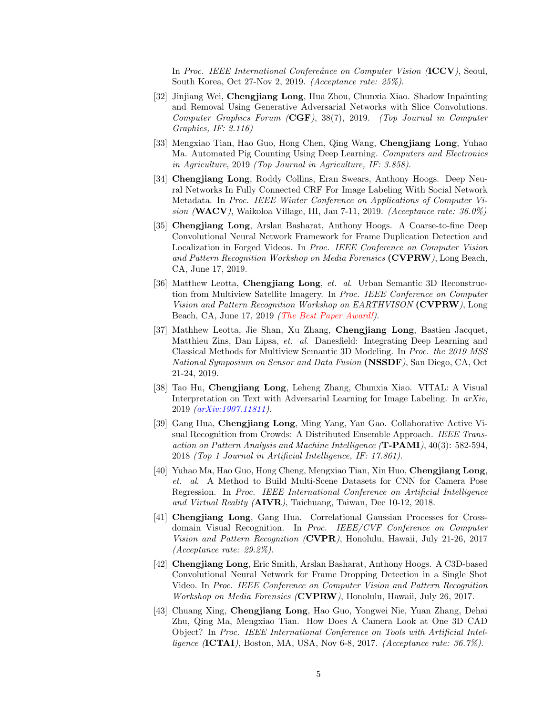In Proc. IEEE International Confereånce on Computer Vision (ICCV), Seoul, South Korea, Oct 27-Nov 2, 2019. (Acceptance rate: 25%).

- [32] Jinjiang Wei, Chengjiang Long, Hua Zhou, Chunxia Xiao. Shadow Inpainting and Removal Using Generative Adversarial Networks with Slice Convolutions. Computer Graphics Forum (CGF), 38(7), 2019. (Top Journal in Computer Graphics, IF: 2.116)
- [33] Mengxiao Tian, Hao Guo, Hong Chen, Qing Wang, Chengjiang Long, Yuhao Ma. Automated Pig Counting Using Deep Learning. Computers and Electronics in Agriculture, 2019 (Top Journal in Agriculture, IF: 3.858).
- [34] Chengjiang Long, Roddy Collins, Eran Swears, Anthony Hoogs. Deep Neural Networks In Fully Connected CRF For Image Labeling With Social Network Metadata. In Proc. IEEE Winter Conference on Applications of Computer Vision (WACV), Waikoloa Village, HI, Jan 7-11, 2019. (Acceptance rate:  $36.0\%$ )
- [35] Chengjiang Long, Arslan Basharat, Anthony Hoogs. A Coarse-to-fine Deep Convolutional Neural Network Framework for Frame Duplication Detection and Localization in Forged Videos. In Proc. IEEE Conference on Computer Vision and Pattern Recognition Workshop on Media Forensics (CVPRW), Long Beach, CA, June 17, 2019.
- [36] Matthew Leotta, Chengjiang Long, et. al. Urban Semantic 3D Reconstruction from Multiview Satellite Imagery. In Proc. IEEE Conference on Computer Vision and Pattern Recognition Workshop on EARTHVISON (CVPRW), Long Beach, CA, June 17, 2019 (The Best Paper Award!).
- [37] Mathhew Leotta, Jie Shan, Xu Zhang, Chengjiang Long, Bastien Jacquet, Matthieu Zins, Dan Lipsa, et. al. Danesfield: Integrating Deep Learning and Classical Methods for Multiview Semantic 3D Modeling. In Proc. the 2019 MSS National Symposium on Sensor and Data Fusion (NSSDF), San Diego, CA, Oct 21-24, 2019.
- [38] Tao Hu, Chengjiang Long, Leheng Zhang, Chunxia Xiao. VITAL: A Visual Interpretation on Text with Adversarial Learning for Image Labeling. In arXiv, 2019 (arXiv:1907.11811).
- [39] Gang Hua, Chengjiang Long, Ming Yang, Yan Gao. Collaborative Active Visual Recognition from Crowds: A Distributed Ensemble Approach. IEEE Transaction on Pattern Analysis and Machine Intelligence (T-PAMI), 40(3): 582-594, 2018 (Top 1 Journal in Artificial Intelligence, IF: 17.861).
- [40] Yuhao Ma, Hao Guo, Hong Cheng, Mengxiao Tian, Xin Huo, Chengjiang Long, et. al. A Method to Build Multi-Scene Datasets for CNN for Camera Pose Regression. In Proc. IEEE International Conference on Artificial Intelligence and Virtual Reality (AIVR), Taichuang, Taiwan, Dec 10-12, 2018.
- [41] Chengjiang Long, Gang Hua. Correlational Gaussian Processes for Crossdomain Visual Recognition. In Proc. IEEE/CVF Conference on Computer Vision and Pattern Recognition (CVPR), Honolulu, Hawaii, July 21-26, 2017 (Acceptance rate: 29.2%).
- [42] Chengjiang Long, Eric Smith, Arslan Basharat, Anthony Hoogs. A C3D-based Convolutional Neural Network for Frame Dropping Detection in a Single Shot Video. In Proc. IEEE Conference on Computer Vision and Pattern Recognition Workshop on Media Forensics (CVPRW), Honolulu, Hawaii, July 26, 2017.
- [43] Chuang Xing, Chengjiang Long, Hao Guo, Yongwei Nie, Yuan Zhang, Dehai Zhu, Qing Ma, Mengxiao Tian. How Does A Camera Look at One 3D CAD Object? In Proc. IEEE International Conference on Tools with Artificial Intelligence  $\Lambda$ **CTAI**), Boston, MA, USA, Nov 6-8, 2017. *(Acceptance rate: 36.7%)*.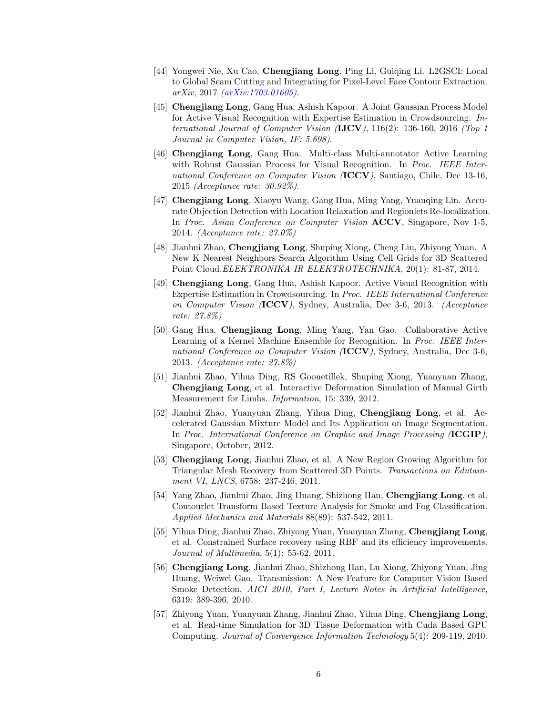- [44] Yongwei Nie, Xu Cao, Chengjiang Long, Ping Li, Guiqing Li. L2GSCI: Local to Global Seam Cutting and Integrating for Pixel-Level Face Contour Extraction. arXiv, 2017 (arXiv:1703.01605).
- [45] Chengjiang Long, Gang Hua, Ashish Kapoor. A Joint Gaussian Process Model for Active Visual Recognition with Expertise Estimation in Crowdsourcing. International Journal of Computer Vision  $(\text{JJCV})$ , 116(2): 136-160, 2016 (Top 1 Journal in Computer Vision, IF: 5.698).
- [46] Chengjiang Long, Gang Hua. Multi-class Multi-annotator Active Learning with Robust Gaussian Process for Visual Recognition. In Proc. IEEE International Conference on Computer Vision (ICCV), Santiago, Chile, Dec 13-16, 2015 (Acceptance rate: 30.92%).
- [47] Chengjiang Long, Xiaoyu Wang, Gang Hua, Ming Yang, Yuanqing Lin. Accurate Objection Detection with Location Relaxation and Regionlets Re-localization. In Proc. Asian Conference on Computer Vision ACCV, Singapore, Nov 1-5, 2014. (Acceptance rate: 27.0%)
- [48] Jianhui Zhao, Chengjiang Long, Shuping Xiong, Cheng Liu, Zhiyong Yuan. A New K Nearest Neighbors Search Algorithm Using Cell Grids for 3D Scattered Point Cloud.ELEKTRONIKA IR ELEKTROTECHNIKA, 20(1): 81-87, 2014.
- [49] Chengjiang Long, Gang Hua, Ashish Kapoor. Active Visual Recognition with Expertise Estimation in Crowdsourcing. In Proc. IEEE International Conference on Computer Vision (ICCV), Sydney, Australia, Dec 3-6, 2013. (Acceptance rate: 27.8%)
- [50] Gang Hua, Chengjiang Long, Ming Yang, Yan Gao. Collaborative Active Learning of a Kernel Machine Ensemble for Recognition. In Proc. IEEE International Conference on Computer Vision (ICCV), Sydney, Australia, Dec 3-6, 2013. (Acceptance rate: 27.8%)
- [51] Jianhui Zhao, Yihua Ding, RS Goonetillek, Shuping Xiong, Yuanyuan Zhang, Chengjiang Long, et al. Interactive Deformation Simulation of Manual Girth Measurement for Limbs. Information, 15: 339, 2012.
- [52] Jianhui Zhao, Yuanyuan Zhang, Yihua Ding, Chengjiang Long, et al. Accelerated Gaussian Mixture Model and Its Application on Image Segmentation. In Proc. International Conference on Graphic and Image Processing (ICGIP), Singapore, October, 2012.
- [53] Chengjiang Long, Jianhui Zhao, et al. A New Region Growing Algorithm for Triangular Mesh Recovery from Scattered 3D Points. Transactions on Edutainment VI, LNCS, 6758: 237-246, 2011.
- [54] Yang Zhao, Jianhui Zhao, Jing Huang, Shizhong Han, Chengjiang Long, et al. Contourlet Transform Based Texture Analysis for Smoke and Fog Classification. Applied Mechanics and Materials 88(89): 537-542, 2011.
- [55] Yihua Ding, Jianhui Zhao, Zhiyong Yuan, Yuanyuan Zhang, Chengjiang Long, et al. Constrained Surface recovery using RBF and its efficiency improvements. Journal of Multimedia, 5(1): 55-62, 2011.
- [56] Chengjiang Long, Jianhui Zhao, Shizhong Han, Lu Xiong, Zhiyong Yuan, Jing Huang, Weiwei Gao. Transmission: A New Feature for Computer Vision Based Smoke Detection, AICI 2010, Part I, Lecture Notes in Artificial Intelligence, 6319: 389-396, 2010.
- [57] Zhiyong Yuan, Yuanyuan Zhang, Jianhui Zhao, Yihua Ding, Chengjiang Long, et al. Real-time Simulation for 3D Tissue Deformation with Cuda Based GPU Computing. Journal of Convergence Information Technology 5(4): 209-119, 2010.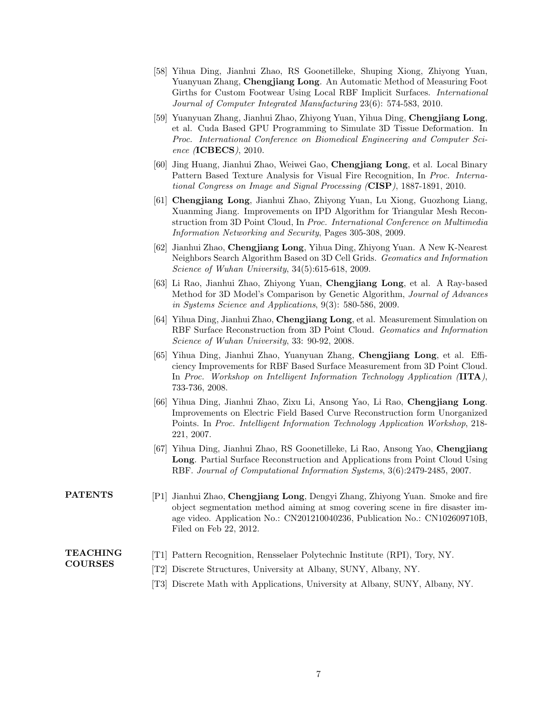- [58] Yihua Ding, Jianhui Zhao, RS Goonetilleke, Shuping Xiong, Zhiyong Yuan, Yuanyuan Zhang, Chengjiang Long. An Automatic Method of Measuring Foot Girths for Custom Footwear Using Local RBF Implicit Surfaces. International Journal of Computer Integrated Manufacturing 23(6): 574-583, 2010.
- [59] Yuanyuan Zhang, Jianhui Zhao, Zhiyong Yuan, Yihua Ding, Chengjiang Long, et al. Cuda Based GPU Programming to Simulate 3D Tissue Deformation. In Proc. International Conference on Biomedical Engineering and Computer Science (ICBECS), 2010.
- [60] Jing Huang, Jianhui Zhao, Weiwei Gao, Chengjiang Long, et al. Local Binary Pattern Based Texture Analysis for Visual Fire Recognition, In Proc. International Congress on Image and Signal Processing (CISP), 1887-1891, 2010.
- [61] Chengjiang Long, Jianhui Zhao, Zhiyong Yuan, Lu Xiong, Guozhong Liang, Xuanming Jiang. Improvements on IPD Algorithm for Triangular Mesh Reconstruction from 3D Point Cloud, In Proc. International Conference on Multimedia Information Networking and Security, Pages 305-308, 2009.
- [62] Jianhui Zhao, Chengjiang Long, Yihua Ding, Zhiyong Yuan. A New K-Nearest Neighbors Search Algorithm Based on 3D Cell Grids. Geomatics and Information Science of Wuhan University, 34(5):615-618, 2009.
- [63] Li Rao, Jianhui Zhao, Zhiyong Yuan, Chengjiang Long, et al. A Ray-based Method for 3D Model's Comparison by Genetic Algorithm, Journal of Advances in Systems Science and Applications, 9(3): 580-586, 2009.
- [64] Yihua Ding, Jianhui Zhao, Chengjiang Long, et al. Measurement Simulation on RBF Surface Reconstruction from 3D Point Cloud. Geomatics and Information Science of Wuhan University, 33: 90-92, 2008.
- [65] Yihua Ding, Jianhui Zhao, Yuanyuan Zhang, Chengjiang Long, et al. Efficiency Improvements for RBF Based Surface Measurement from 3D Point Cloud. In Proc. Workshop on Intelligent Information Technology Application (IITA), 733-736, 2008.
- [66] Yihua Ding, Jianhui Zhao, Zixu Li, Ansong Yao, Li Rao, Chengjiang Long. Improvements on Electric Field Based Curve Reconstruction form Unorganized Points. In Proc. Intelligent Information Technology Application Workshop, 218- 221, 2007.
- [67] Yihua Ding, Jianhui Zhao, RS Goonetilleke, Li Rao, Ansong Yao, Chengjiang Long. Partial Surface Reconstruction and Applications from Point Cloud Using RBF. Journal of Computational Information Systems, 3(6):2479-2485, 2007.
- **PATENTS** [P1] Jianhui Zhao, Chengjiang Long, Dengyi Zhang, Zhiyong Yuan. Smoke and fire object segmentation method aiming at smog covering scene in fire disaster image video. Application No.: CN201210040236, Publication No.: CN102609710B, Filed on Feb 22, 2012.

## TEACHING COURSES

- [T1] Pattern Recognition, Rensselaer Polytechnic Institute (RPI), Tory, NY.
	- [T2] Discrete Structures, University at Albany, SUNY, Albany, NY.
	- [T3] Discrete Math with Applications, University at Albany, SUNY, Albany, NY.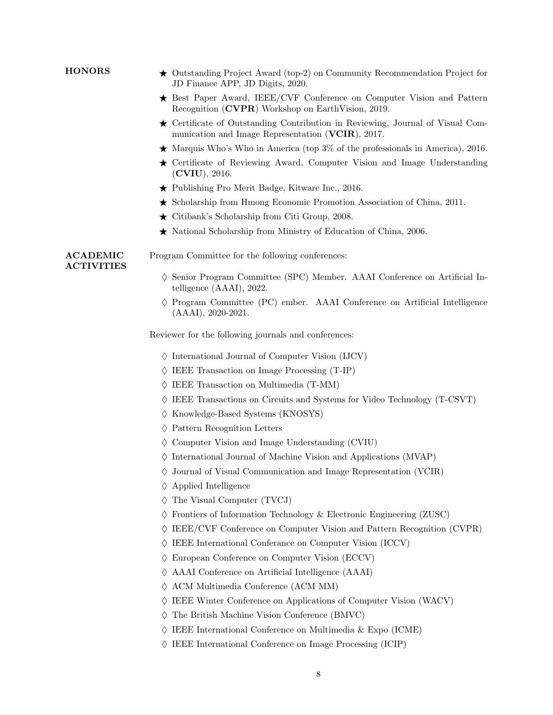| <b>HONORS</b>                                                                                                   | $\star$ Outstanding Project Award (top-2) on Community Recommendation Project for<br>JD Finance APP, JD Digits, 2020.                                                                                                                                                          |                                                  |  |  |
|-----------------------------------------------------------------------------------------------------------------|--------------------------------------------------------------------------------------------------------------------------------------------------------------------------------------------------------------------------------------------------------------------------------|--------------------------------------------------|--|--|
|                                                                                                                 | $\star$ Best Paper Award, IEEE/CVF Conference on Computer Vision and Pattern<br>Recognition (CVPR) Workshop on EarthVision, 2019.<br>$\star$ Certificate of Outstanding Contribution in Reviewing, Journal of Visual Com-<br>munication and Image Representation (VCIR), 2017. |                                                  |  |  |
|                                                                                                                 |                                                                                                                                                                                                                                                                                |                                                  |  |  |
|                                                                                                                 | ★ Certificate of Reviewing Award, Computer Vision and Image Understanding<br>(CVIU), 2016.                                                                                                                                                                                     |                                                  |  |  |
|                                                                                                                 | $\star$ Publishing Pro Merit Badge, Kitware Inc., 2016.                                                                                                                                                                                                                        |                                                  |  |  |
|                                                                                                                 | $\star$ Scholarship from Hmong Economic Promotion Association of China, 2011.                                                                                                                                                                                                  |                                                  |  |  |
|                                                                                                                 | $\star$ Citibank's Scholarship from Citi Group, 2008.                                                                                                                                                                                                                          |                                                  |  |  |
|                                                                                                                 | $\star$ National Scholarship from Ministry of Education of China, 2006.                                                                                                                                                                                                        |                                                  |  |  |
|                                                                                                                 | <b>ACADEMIC</b><br><b>ACTIVITIES</b>                                                                                                                                                                                                                                           | Program Committee for the following conferences: |  |  |
| $\diamond$ Senior Program Committee (SPC) Member. AAAI Conference on Artificial In-<br>telligence (AAAI), 2022. |                                                                                                                                                                                                                                                                                |                                                  |  |  |
| $\Diamond$ Program Committee (PC) ember. AAAI Conference on Artificial Intelligence<br>$(AAAI), 2020-2021.$     |                                                                                                                                                                                                                                                                                |                                                  |  |  |
| Reviewer for the following journals and conferences:                                                            |                                                                                                                                                                                                                                                                                |                                                  |  |  |
| $\Diamond$ International Journal of Computer Vision (IJCV)                                                      |                                                                                                                                                                                                                                                                                |                                                  |  |  |
| $\Diamond$ IEEE Transaction on Image Processing (T-IP)                                                          |                                                                                                                                                                                                                                                                                |                                                  |  |  |
| IEEE Transaction on Multimedia (T-MM)                                                                           |                                                                                                                                                                                                                                                                                |                                                  |  |  |
| $\diamond$ IEEE Transactions on Circuits and Systems for Video Technology (T-CSVT)                              |                                                                                                                                                                                                                                                                                |                                                  |  |  |
|                                                                                                                 | $\Diamond$ Knowledge-Based Systems (KNOSYS)                                                                                                                                                                                                                                    |                                                  |  |  |
|                                                                                                                 | Pattern Recognition Letters<br>♦                                                                                                                                                                                                                                               |                                                  |  |  |
|                                                                                                                 | $\Diamond$ Computer Vision and Image Understanding (CVIU)                                                                                                                                                                                                                      |                                                  |  |  |
|                                                                                                                 | $\Diamond$ International Journal of Machine Vision and Applications (MVAP)                                                                                                                                                                                                     |                                                  |  |  |
|                                                                                                                 | $\diamond$ Journal of Visual Communication and Image Representation (VCIR)                                                                                                                                                                                                     |                                                  |  |  |
|                                                                                                                 | $\Diamond$ Applied Intelligence                                                                                                                                                                                                                                                |                                                  |  |  |
|                                                                                                                 | The Visual Computer (TVCJ)                                                                                                                                                                                                                                                     |                                                  |  |  |
|                                                                                                                 | Frontiers of Information Technology & Electronic Engineering (ZUSC)                                                                                                                                                                                                            |                                                  |  |  |
|                                                                                                                 | IEEE/CVF Conference on Computer Vision and Pattern Recognition (CVPR)                                                                                                                                                                                                          |                                                  |  |  |
|                                                                                                                 | IEEE International Conferance on Computer Vision (ICCV)                                                                                                                                                                                                                        |                                                  |  |  |
|                                                                                                                 | European Conference on Computer Vision (ECCV)<br>$\langle \rangle$                                                                                                                                                                                                             |                                                  |  |  |
|                                                                                                                 | AAAI Conference on Artificial Intelligence (AAAI)                                                                                                                                                                                                                              |                                                  |  |  |
|                                                                                                                 | ACM Multimedia Conference (ACM MM)<br>♦                                                                                                                                                                                                                                        |                                                  |  |  |
|                                                                                                                 | IEEE Winter Conference on Applications of Computer Vision (WACV)<br>♦                                                                                                                                                                                                          |                                                  |  |  |
|                                                                                                                 | The British Machine Vision Conference (BMVC)                                                                                                                                                                                                                                   |                                                  |  |  |
|                                                                                                                 | IEEE International Conference on Multimedia & Expo (ICME)                                                                                                                                                                                                                      |                                                  |  |  |
|                                                                                                                 | IEEE International Conference on Image Processing (ICIP)                                                                                                                                                                                                                       |                                                  |  |  |
|                                                                                                                 |                                                                                                                                                                                                                                                                                |                                                  |  |  |